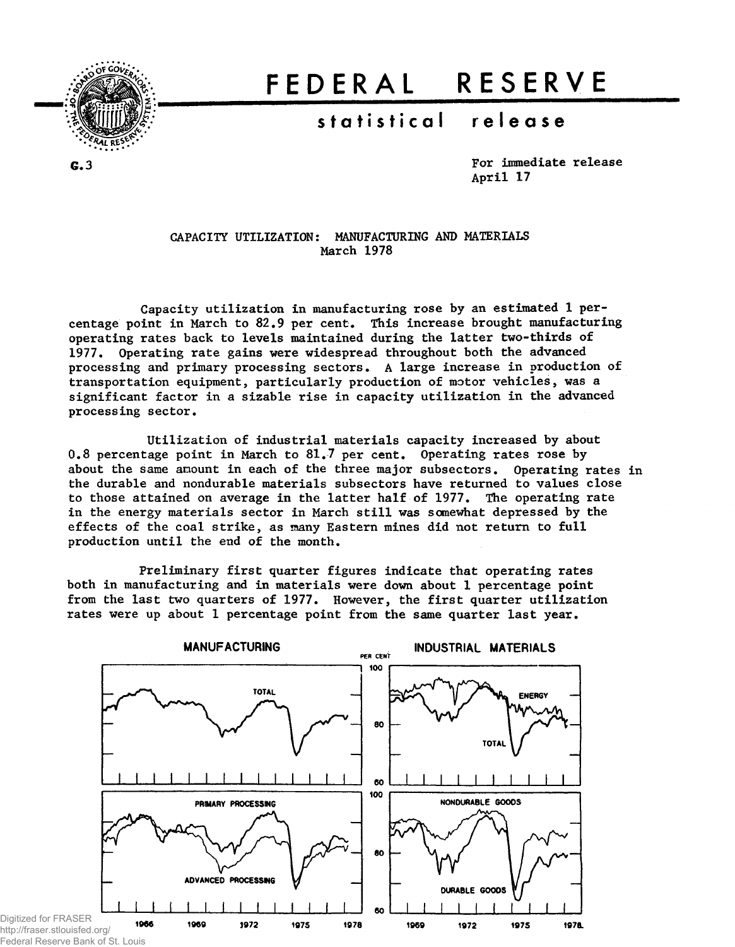

# **FEDERA L RESERV E**

## **statistica l releas e**

G.3

For immediate release April 17

#### CAPACITY UTILIZATION: MANUFACTURING AND MATERIALS March 1978

Capacity utilization in manufacturing rose by an estimated 1 percentage point in March to 82.9 per cent. This increase brought manufacturing operating rates back to levels maintained during the latter two-thirds of 1977. Operating rate gains were widespread throughout both the advanced processing and primary processing sectors. A large increase in production of transportation equipment, particularly production of motor vehicles, was a significant factor in a sizable rise in capacity utilization in the advanced processing sector.

Utilization of industrial materials capacity increased by about 0.8 percentage point in March to 81.7 per cent. Operating rates rose by about the same amount in each of the three major subsectors. Operating rates in the durable and nondurable materials subsectors have returned to values close to those attained on average in the latter half of 1977. The operating rate in the energy materials sector in March still was somewhat depressed by the effects of the coal strike, as naany Eastern mines did not return to full production until the end of the month.

Preliminary first quarter figures indicate that operating rates both in manufacturing and in materials were down about 1 percentage point from the last two quarters of 1977. However, the first quarter utilization rates were up about 1 percentage point from the same quarter last year.